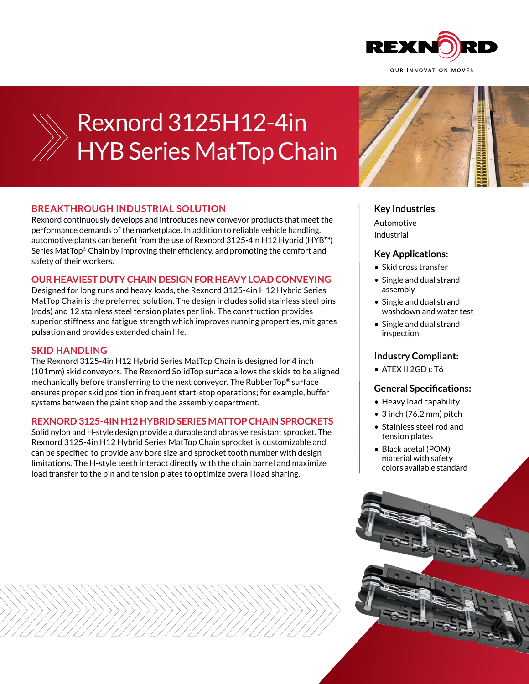



# Rexnord 3125H12-4in HYB Series MatTop Chain

# **BREAKTHROUGH INDUSTRIAL SOLUTION**

Rexnord continuously develops and introduces new conveyor products that meet the performance demands of the marketplace. In addition to reliable vehicle handling, automotive plants can benefit from the use of Rexnord 3125-4in H12 Hybrid (HYB™) Series MatTop® Chain by improving their efficiency, and promoting the comfort and safety of their workers.

### **OUR HEAVIEST DUTY CHAIN DESIGN FOR HEAVY LOAD CONVEYING**

Designed for long runs and heavy loads, the Rexnord 3125-4in H12 Hybrid Series MatTop Chain is the preferred solution. The design includes solid stainless steel pins (rods) and 12 stainless steel tension plates per link. The construction provides superior stiffness and fatigue strength which improves running properties, mitigates pulsation and provides extended chain life.

#### **SKID HANDLING**

The Rexnord 3125-4in H12 Hybrid Series MatTop Chain is designed for 4 inch (101mm) skid conveyors. The Rexnord SolidTop surface allows the skids to be aligned mechanically before transferring to the next conveyor. The RubberTop® surface ensures proper skid position in frequent start-stop operations; for example, buffer systems between the paint shop and the assembly department.

#### **REXNORD 3125-4IN H12 HYBRID SERIES MATTOP CHAIN SPROCKETS**

Solid nylon and H-style design provide a durable and abrasive resistant sprocket. The Rexnord 3125-4in H12 Hybrid Series MatTop Chain sprocket is customizable and can be specified to provide any bore size and sprocket tooth number with design limitations. The H-style teeth interact directly with the chain barrel and maximize load transfer to the pin and tension plates to optimize overall load sharing.



# **Key Industries**

Automotive Industrial

# **Key Applications:**

- Skid cross transfer
- Single and dual strand assembly
- Single and dual strand washdown and water test
- Single and dual strand inspection

# **Industry Compliant:**

• ATEX II 2GD c T6

#### **General Specifications:**

- Heavy load capability
- 3 inch (76.2 mm) pitch
- Stainless steel rod and tension plates
- Black acetal (POM) material with safety colors available standard